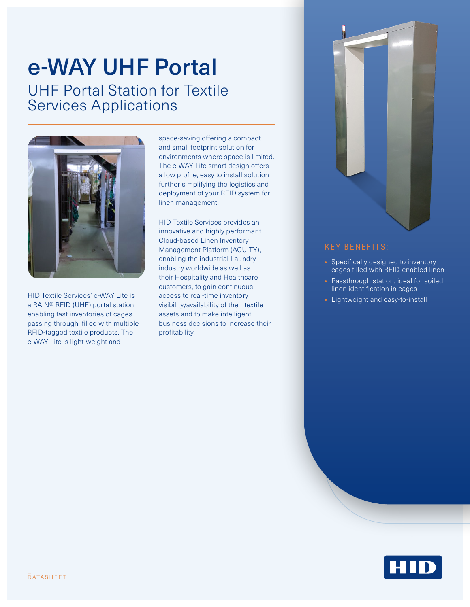# UHF Portal Station for Textile Services Applications e-WAY UHF Portal



HID Textile Services' e-WAY Lite is a RAIN® RFID (UHF) portal station enabling fast inventories of cages passing through, filled with multiple RFID-tagged textile products. The e-WAY Lite is light-weight and

space-saving offering a compact and small footprint solution for environments where space is limited. The e-WAY Lite smart design offers a low profile, easy to install solution further simplifying the logistics and deployment of your RFID system for linen management.

HID Textile Services provides an innovative and highly performant Cloud-based Linen Inventory Management Platform (ACUITY), enabling the industrial Laundry industry worldwide as well as their Hospitality and Healthcare customers, to gain continuous access to real-time inventory visibility/availability of their textile assets and to make intelligent business decisions to increase their profitability.



#### KEY BENEFITS:

- Specifically designed to inventory cages filled with RFID-enabled linen
- Passthrough station, ideal for soiled linen identification in cages
- Lightweight and easy-to-install